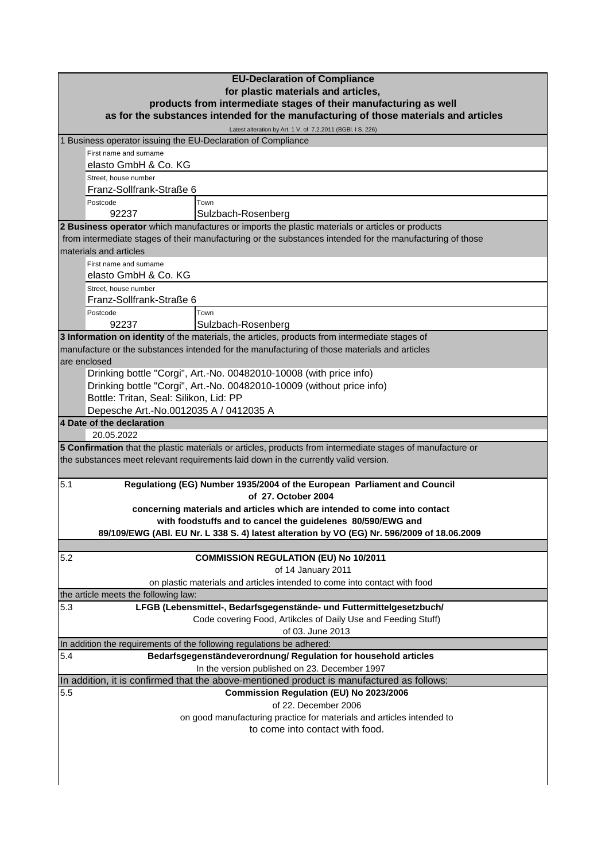| <b>EU-Declaration of Compliance</b><br>for plastic materials and articles,                                                          |                                                                                                                                                     |  |
|-------------------------------------------------------------------------------------------------------------------------------------|-----------------------------------------------------------------------------------------------------------------------------------------------------|--|
| products from intermediate stages of their manufacturing as well                                                                    |                                                                                                                                                     |  |
|                                                                                                                                     | as for the substances intended for the manufacturing of those materials and articles<br>Latest alteration by Art. 1 V. of 7.2.2011 (BGBI. I S. 226) |  |
| 1 Business operator issuing the EU-Declaration of Compliance                                                                        |                                                                                                                                                     |  |
| First name and surname                                                                                                              |                                                                                                                                                     |  |
| elasto GmbH & Co. KG                                                                                                                |                                                                                                                                                     |  |
| Street, house number<br>Franz-Sollfrank-Straße 6                                                                                    |                                                                                                                                                     |  |
| Postcode                                                                                                                            | Town                                                                                                                                                |  |
| 92237                                                                                                                               | Sulzbach-Rosenberg                                                                                                                                  |  |
| 2 Business operator which manufactures or imports the plastic materials or articles or products                                     |                                                                                                                                                     |  |
| from intermediate stages of their manufacturing or the substances intended for the manufacturing of those<br>materials and articles |                                                                                                                                                     |  |
| First name and surname                                                                                                              |                                                                                                                                                     |  |
| elasto GmbH & Co. KG                                                                                                                |                                                                                                                                                     |  |
| Street, house number                                                                                                                |                                                                                                                                                     |  |
| Franz-Sollfrank-Straße 6<br>Postcode                                                                                                | Town                                                                                                                                                |  |
| 92237                                                                                                                               | Sulzbach-Rosenberg                                                                                                                                  |  |
|                                                                                                                                     | 3 Information on identity of the materials, the articles, products from intermediate stages of                                                      |  |
| manufacture or the substances intended for the manufacturing of those materials and articles                                        |                                                                                                                                                     |  |
| are enclosed                                                                                                                        |                                                                                                                                                     |  |
|                                                                                                                                     | Drinking bottle "Corgi", Art.-No. 00482010-10008 (with price info)                                                                                  |  |
|                                                                                                                                     | Drinking bottle "Corgi", Art.-No. 00482010-10009 (without price info)                                                                               |  |
| Bottle: Tritan, Seal: Silikon, Lid: PP<br>Depesche Art.-No.0012035 A / 0412035 A                                                    |                                                                                                                                                     |  |
| 4 Date of the declaration                                                                                                           |                                                                                                                                                     |  |
| 20.05.2022                                                                                                                          |                                                                                                                                                     |  |
|                                                                                                                                     | 5 Confirmation that the plastic materials or articles, products from intermediate stages of manufacture or                                          |  |
| the substances meet relevant requirements laid down in the currently valid version.                                                 |                                                                                                                                                     |  |
| 5.1<br>Regulationg (EG) Number 1935/2004 of the European Parliament and Council                                                     |                                                                                                                                                     |  |
|                                                                                                                                     | of 27. October 2004                                                                                                                                 |  |
|                                                                                                                                     | concerning materials and articles which are intended to come into contact<br>with foodstuffs and to cancel the guidelenes 80/590/EWG and            |  |
|                                                                                                                                     | 89/109/EWG (ABI. EU Nr. L 338 S. 4) latest alteration by VO (EG) Nr. 596/2009 of 18.06.2009                                                         |  |
|                                                                                                                                     |                                                                                                                                                     |  |
| 5.2                                                                                                                                 | <b>COMMISSION REGULATION (EU) No 10/2011</b>                                                                                                        |  |
| of 14 January 2011                                                                                                                  |                                                                                                                                                     |  |
| on plastic materials and articles intended to come into contact with food                                                           |                                                                                                                                                     |  |
| the article meets the following law:<br>LFGB (Lebensmittel-, Bedarfsgegenstände- und Futtermittelgesetzbuch/                        |                                                                                                                                                     |  |
| 5.3                                                                                                                                 | Code covering Food, Artikcles of Daily Use and Feeding Stuff)                                                                                       |  |
|                                                                                                                                     | of 03. June 2013                                                                                                                                    |  |
|                                                                                                                                     | In addition the requirements of the following regulations be adhered:                                                                               |  |
| Bedarfsgegenständeverordnung/ Regulation for household articles<br>5.4                                                              |                                                                                                                                                     |  |
| In the version published on 23. December 1997                                                                                       |                                                                                                                                                     |  |
|                                                                                                                                     | In addition, it is confirmed that the above-mentioned product is manufactured as follows:                                                           |  |
| 5.5                                                                                                                                 | Commission Regulation (EU) No 2023/2006<br>of 22. December 2006                                                                                     |  |
|                                                                                                                                     | on good manufacturing practice for materials and articles intended to                                                                               |  |
| to come into contact with food.                                                                                                     |                                                                                                                                                     |  |
|                                                                                                                                     |                                                                                                                                                     |  |
|                                                                                                                                     |                                                                                                                                                     |  |

 $\overline{\phantom{a}}$ 

 $\overline{\phantom{a}}$